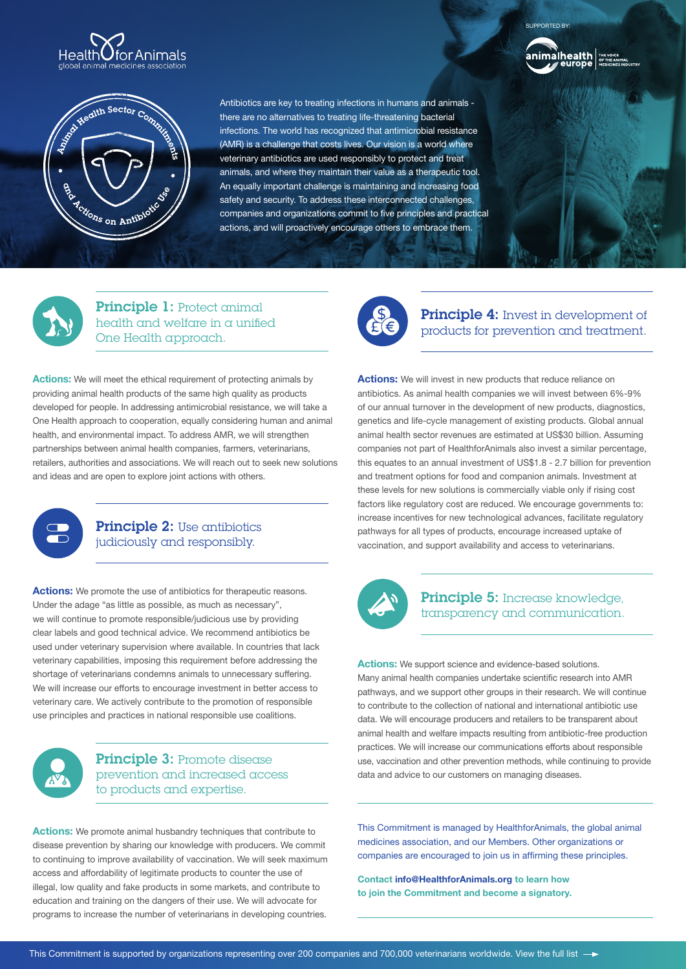



Antibiotics are key to treating infections in humans and animals there are no alternatives to treating life-threatening bacterial infections. The world has recognized that antimicrobial resistance (AMR) is a challenge that costs lives. Our vision is a world where veterinary antibiotics are used responsibly to protect and treat animals, and where they maintain their value as a therapeutic tool. An equally important challenge is maintaining and increasing food safety and security. To address these interconnected challenges, companies and organizations commit to five principles and practical actions, and will proactively encourage others to embrace them.



ORTED BY



**Principle 4:** Invest in development of products for prevention and treatment.

**Actions:** We will invest in new products that reduce reliance on antibiotics. As animal health companies we will invest between 6%-9% of our annual turnover in the development of new products, diagnostics, genetics and life-cycle management of existing products. Global annual animal health sector revenues are estimated at US\$30 billion. Assuming companies not part of HealthforAnimals also invest a similar percentage, this equates to an annual investment of US\$1.8 - 2.7 billion for prevention and treatment options for food and companion animals. Investment at these levels for new solutions is commercially viable only if rising cost factors like regulatory cost are reduced. We encourage governments to: increase incentives for new technological advances, facilitate regulatory pathways for all types of products, encourage increased uptake of vaccination, and support availability and access to veterinarians.



### Principle 5: Increase knowledge, transparency and communication.

**Actions:** We support science and evidence-based solutions. Many animal health companies undertake scientific research into AMR pathways, and we support other groups in their research. We will continue to contribute to the collection of national and international antibiotic use data. We will encourage producers and retailers to be transparent about animal health and welfare impacts resulting from antibiotic-free production practices. We will increase our communications efforts about responsible use, vaccination and other prevention methods, while continuing to provide data and advice to our customers on managing diseases.

This Commitment is managed by HealthforAnimals, the global animal medicines association, and our Members. Other organizations or companies are encouraged to join us in affirming these principles.

**Contact info@HealthforAnimals.org to learn how to join the Commitment and become a signatory.**



Principle 1: Protect animal health and welfare in a unified One Health approach.

**Actions:** We will meet the ethical requirement of protecting animals by providing animal health products of the same high quality as products developed for people. In addressing antimicrobial resistance, we will take a One Health approach to cooperation, equally considering human and animal health, and environmental impact. To address AMR, we will strengthen partnerships between animal health companies, farmers, veterinarians, retailers, authorities and associations. We will reach out to seek new solutions and ideas and are open to explore joint actions with others.



## Principle 2: Use antibiotics judiciously and responsibly.

Actions: We promote the use of antibiotics for therapeutic reasons. Under the adage "as little as possible, as much as necessary", we will continue to promote responsible/judicious use by providing clear labels and good technical advice. We recommend antibiotics be used under veterinary supervision where available. In countries that lack veterinary capabilities, imposing this requirement before addressing the shortage of veterinarians condemns animals to unnecessary suffering. We will increase our efforts to encourage investment in better access to veterinary care. We actively contribute to the promotion of responsible use principles and practices in national responsible use coalitions.



Principle 3: Promote disease prevention and increased access to products and expertise.

**Actions:** We promote animal husbandry techniques that contribute to disease prevention by sharing our knowledge with producers. We commit to continuing to improve availability of vaccination. We will seek maximum access and affordability of legitimate products to counter the use of illegal, low quality and fake products in some markets, and contribute to education and training on the dangers of their use. We will advocate for programs to increase the number of veterinarians in developing countries.